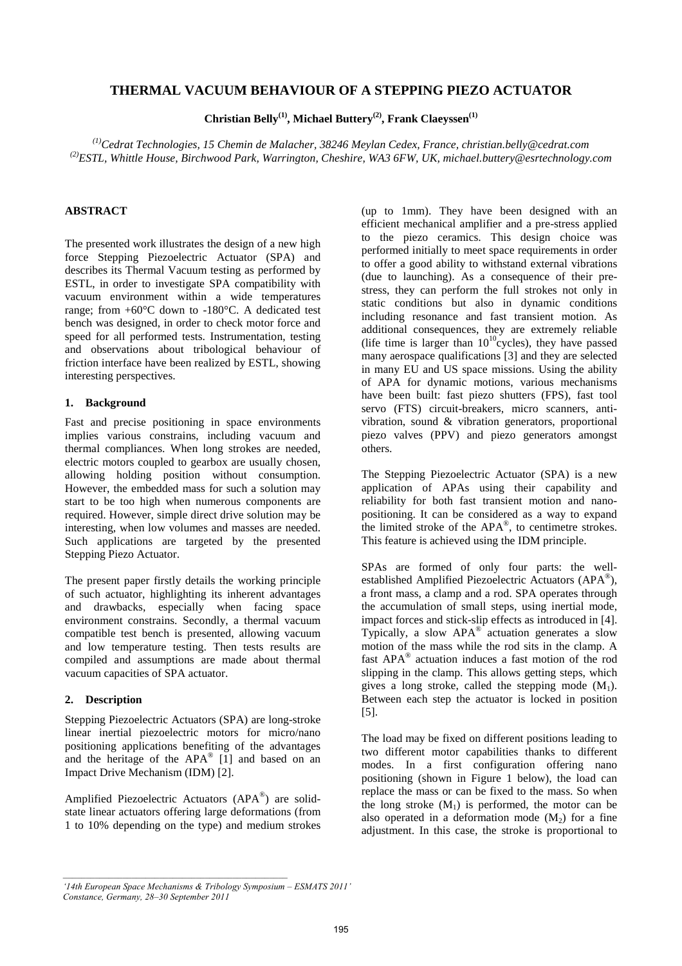# **THERMAL VACUUM BEHAVIOUR OF A STEPPING PIEZO ACTUATOR**

**Christian Belly(1), Michael Buttery(2), Frank Claeyssen(1)**

*(1)Cedrat Technologies, 15 Chemin de Malacher, 38246 Meylan Cedex, France, christian.belly@cedrat.com (2)ESTL, Whittle House, Birchwood Park, Warrington, Cheshire, WA3 6FW, UK, michael.buttery@esrtechnology.com* 

### **ABSTRACT**

The presented work illustrates the design of a new high force Stepping Piezoelectric Actuator (SPA) and describes its Thermal Vacuum testing as performed by ESTL, in order to investigate SPA compatibility with vacuum environment within a wide temperatures range; from +60°C down to -180°C. A dedicated test bench was designed, in order to check motor force and speed for all performed tests. Instrumentation, testing and observations about tribological behaviour of friction interface have been realized by ESTL, showing interesting perspectives.

### **1. Background**

Fast and precise positioning in space environments implies various constrains, including vacuum and thermal compliances. When long strokes are needed, electric motors coupled to gearbox are usually chosen, allowing holding position without consumption. However, the embedded mass for such a solution may start to be too high when numerous components are required. However, simple direct drive solution may be interesting, when low volumes and masses are needed. Such applications are targeted by the presented Stepping Piezo Actuator.

The present paper firstly details the working principle of such actuator, highlighting its inherent advantages and drawbacks, especially when facing space environment constrains. Secondly, a thermal vacuum compatible test bench is presented, allowing vacuum and low temperature testing. Then tests results are compiled and assumptions are made about thermal vacuum capacities of SPA actuator.

# **2. Description**

Stepping Piezoelectric Actuators (SPA) are long-stroke linear inertial piezoelectric motors for micro/nano positioning applications benefiting of the advantages and the heritage of the  $APA^{\circledast}$  [1] and based on an Impact Drive Mechanism (IDM) [2].

Amplified Piezoelectric Actuators (APA® ) are solidstate linear actuators offering large deformations (from 1 to 10% depending on the type) and medium strokes

(up to 1mm). They have been designed with an efficient mechanical amplifier and a pre-stress applied to the piezo ceramics. This design choice was performed initially to meet space requirements in order to offer a good ability to withstand external vibrations (due to launching). As a consequence of their prestress, they can perform the full strokes not only in static conditions but also in dynamic conditions including resonance and fast transient motion. As additional consequences, they are extremely reliable (life time is larger than  $10^{10}$ cycles), they have passed many aerospace qualifications [3] and they are selected in many EU and US space missions. Using the ability of APA for dynamic motions, various mechanisms have been built: fast piezo shutters (FPS), fast tool servo (FTS) circuit-breakers, micro scanners, antivibration, sound & vibration generators, proportional piezo valves (PPV) and piezo generators amongst others.

The Stepping Piezoelectric Actuator (SPA) is a new application of APAs using their capability and reliability for both fast transient motion and nanopositioning. It can be considered as a way to expand the limited stroke of the  $APA^{\circledast}$ , to centimetre strokes. This feature is achieved using the IDM principle.

SPAs are formed of only four parts: the wellestablished Amplified Piezoelectric Actuators (APA®), a front mass, a clamp and a rod. SPA operates through the accumulation of small steps, using inertial mode, impact forces and stick-slip effects as introduced in [4]. Typically, a slow APA® actuation generates a slow motion of the mass while the rod sits in the clamp. A fast APA® actuation induces a fast motion of the rod slipping in the clamp. This allows getting steps, which gives a long stroke, called the stepping mode  $(M_1)$ . Between each step the actuator is locked in position [5].

The load may be fixed on different positions leading to two different motor capabilities thanks to different modes. In a first configuration offering nano positioning (shown in Figure 1 below), the load can replace the mass or can be fixed to the mass. So when the long stroke  $(M_1)$  is performed, the motor can be also operated in a deformation mode  $(M<sub>2</sub>)$  for a fine adjustment. In this case, the stroke is proportional to

*<sup>&#</sup>x27;14th European Space Mechanisms & Tribology Symposium – ESMATS 2011' Constance, Germany, 28–30 September 2011*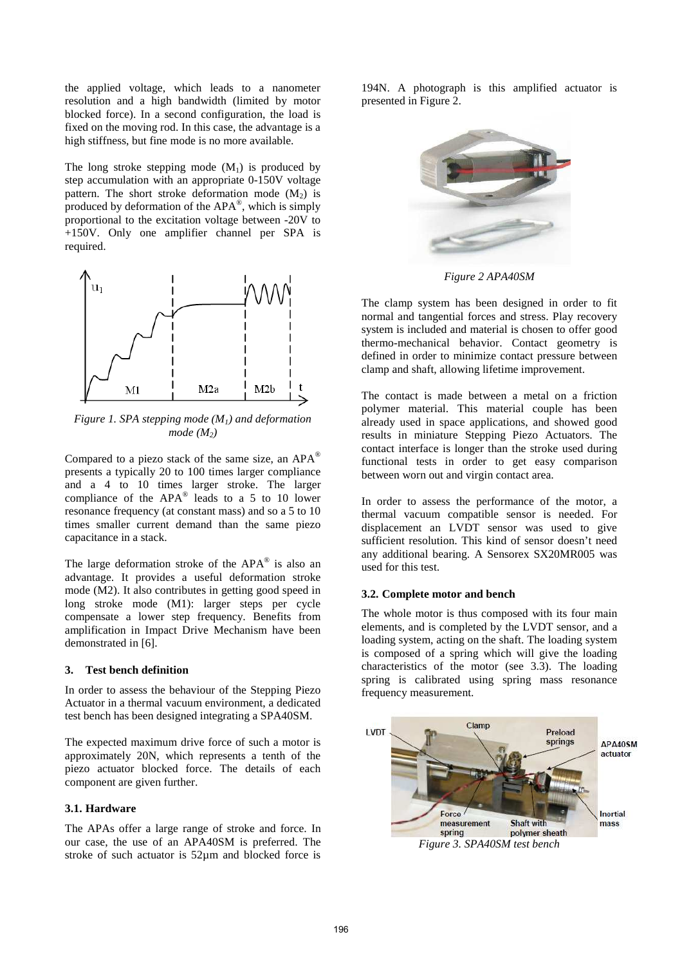the applied voltage, which leads to a nanometer resolution and a high bandwidth (limited by motor blocked force). In a second configuration, the load is fixed on the moving rod. In this case, the advantage is a high stiffness, but fine mode is no more available.

The long stroke stepping mode  $(M_1)$  is produced by step accumulation with an appropriate 0-150V voltage pattern. The short stroke deformation mode  $(M<sub>2</sub>)$  is produced by deformation of the  $APA^{\circledast}$ , which is simply proportional to the excitation voltage between -20V to +150V. Only one amplifier channel per SPA is required.



*Figure 1. SPA stepping mode (M1) and deformation mode (M2)*

Compared to a piezo stack of the same size, an  $APA^{\circledR}$ presents a typically 20 to 100 times larger compliance and a 4 to 10 times larger stroke. The larger compliance of the  $APA^{\circledast}$  leads to a 5 to 10 lower resonance frequency (at constant mass) and so a 5 to 10 times smaller current demand than the same piezo capacitance in a stack.

The large deformation stroke of the  $APA^{\circledast}$  is also an advantage. It provides a useful deformation stroke mode (M2). It also contributes in getting good speed in long stroke mode (M1): larger steps per cycle compensate a lower step frequency. Benefits from amplification in Impact Drive Mechanism have been demonstrated in [6].

# **3. Test bench definition**

In order to assess the behaviour of the Stepping Piezo Actuator in a thermal vacuum environment, a dedicated test bench has been designed integrating a SPA40SM.

The expected maximum drive force of such a motor is approximately 20N, which represents a tenth of the piezo actuator blocked force. The details of each component are given further.

### **3.1. Hardware**

The APAs offer a large range of stroke and force. In our case, the use of an APA40SM is preferred. The stroke of such actuator is 52µm and blocked force is

194N. A photograph is this amplified actuator is presented in Figure 2.



*Figure 2 APA40SM* 

The clamp system has been designed in order to fit normal and tangential forces and stress. Play recovery system is included and material is chosen to offer good thermo-mechanical behavior. Contact geometry is defined in order to minimize contact pressure between clamp and shaft, allowing lifetime improvement.

The contact is made between a metal on a friction polymer material. This material couple has been already used in space applications, and showed good results in miniature Stepping Piezo Actuators. The contact interface is longer than the stroke used during functional tests in order to get easy comparison between worn out and virgin contact area.

In order to assess the performance of the motor, a thermal vacuum compatible sensor is needed. For displacement an LVDT sensor was used to give sufficient resolution. This kind of sensor doesn't need any additional bearing. A Sensorex SX20MR005 was used for this test.

#### **3.2. Complete motor and bench**

The whole motor is thus composed with its four main elements, and is completed by the LVDT sensor, and a loading system, acting on the shaft. The loading system is composed of a spring which will give the loading characteristics of the motor (see 3.3). The loading spring is calibrated using spring mass resonance frequency measurement.

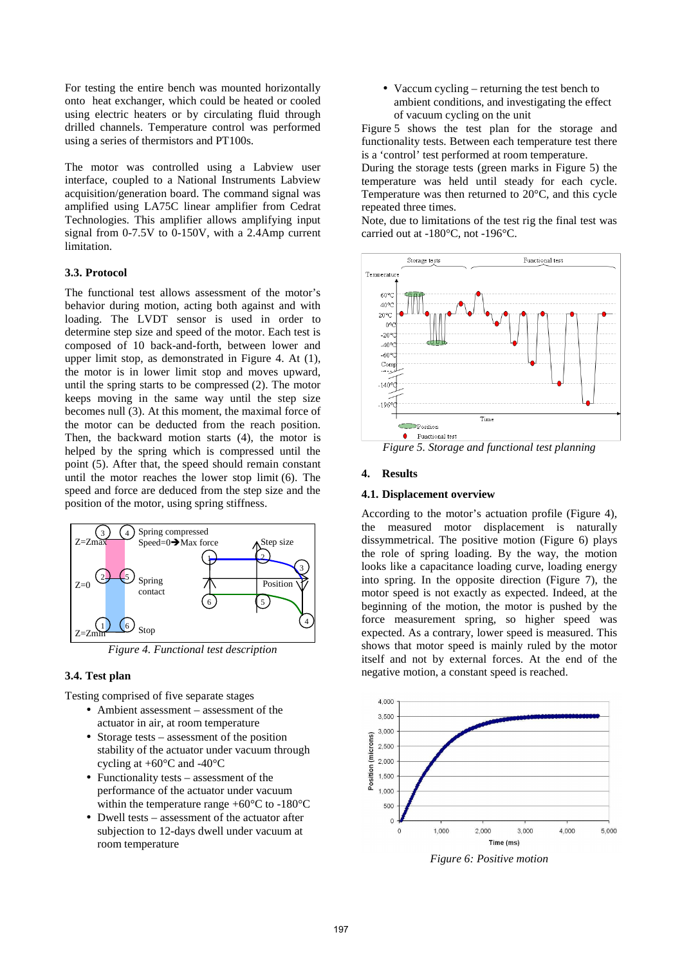For testing the entire bench was mounted horizontally onto heat exchanger, which could be heated or cooled using electric heaters or by circulating fluid through drilled channels. Temperature control was performed using a series of thermistors and PT100s.

The motor was controlled using a Labview user interface, coupled to a National Instruments Labview acquisition/generation board. The command signal was amplified using LA75C linear amplifier from Cedrat Technologies. This amplifier allows amplifying input signal from 0-7.5V to 0-150V, with a 2.4Amp current limitation.

### **3.3. Protocol**

The functional test allows assessment of the motor's behavior during motion, acting both against and with loading. The LVDT sensor is used in order to determine step size and speed of the motor. Each test is composed of 10 back-and-forth, between lower and upper limit stop, as demonstrated in Figure 4. At (1), the motor is in lower limit stop and moves upward, until the spring starts to be compressed (2). The motor keeps moving in the same way until the step size becomes null (3). At this moment, the maximal force of the motor can be deducted from the reach position. Then, the backward motion starts (4), the motor is helped by the spring which is compressed until the point (5). After that, the speed should remain constant until the motor reaches the lower stop limit (6). The speed and force are deduced from the step size and the position of the motor, using spring stiffness.



*Figure 4. Functional test description* 

#### **3.4. Test plan**

Testing comprised of five separate stages

- Ambient assessment assessment of the actuator in air, at room temperature
- Storage tests assessment of the position stability of the actuator under vacuum through cycling at  $+60^{\circ}$ C and  $-40^{\circ}$ C
- Functionality tests assessment of the performance of the actuator under vacuum within the temperature range  $+60^{\circ}$ C to  $-180^{\circ}$ C
- Dwell tests assessment of the actuator after subjection to 12-days dwell under vacuum at room temperature

• Vaccum cycling – returning the test bench to ambient conditions, and investigating the effect of vacuum cycling on the unit

Figure 5 shows the test plan for the storage and functionality tests. Between each temperature test there is a 'control' test performed at room temperature.

During the storage tests (green marks in Figure 5) the temperature was held until steady for each cycle. Temperature was then returned to 20°C, and this cycle repeated three times.

Note, due to limitations of the test rig the final test was carried out at -180°C, not -196°C.



*Figure 5. Storage and functional test planning* 

#### **4. Results**

### **4.1. Displacement overview**

According to the motor's actuation profile (Figure 4), the measured motor displacement is naturally dissymmetrical. The positive motion (Figure 6) plays the role of spring loading. By the way, the motion looks like a capacitance loading curve, loading energy into spring. In the opposite direction (Figure 7), the motor speed is not exactly as expected. Indeed, at the beginning of the motion, the motor is pushed by the force measurement spring, so higher speed was expected. As a contrary, lower speed is measured. This shows that motor speed is mainly ruled by the motor itself and not by external forces. At the end of the negative motion, a constant speed is reached.



*Figure 6: Positive motion*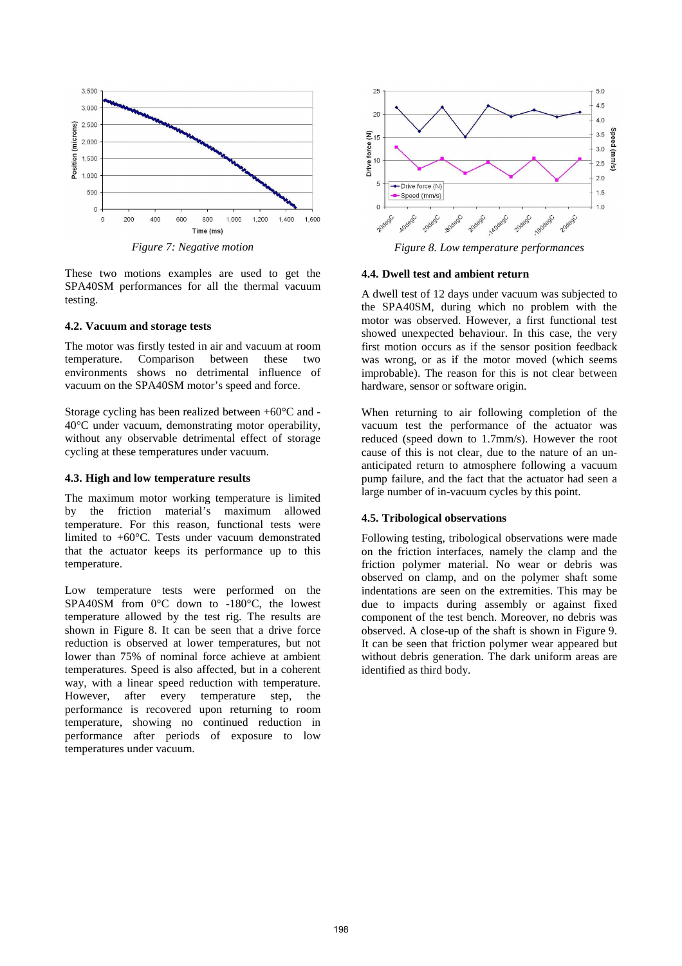

*Figure 7: Negative motion* 

These two motions examples are used to get the SPA40SM performances for all the thermal vacuum testing.

### **4.2. Vacuum and storage tests**

The motor was firstly tested in air and vacuum at room temperature. Comparison between these two environments shows no detrimental influence of vacuum on the SPA40SM motor's speed and force.

Storage cycling has been realized between +60°C and - 40°C under vacuum, demonstrating motor operability, without any observable detrimental effect of storage cycling at these temperatures under vacuum.

### **4.3. High and low temperature results**

The maximum motor working temperature is limited by the friction material's maximum allowed temperature. For this reason, functional tests were limited to +60°C. Tests under vacuum demonstrated that the actuator keeps its performance up to this temperature.

Low temperature tests were performed on the SPA40SM from 0°C down to -180°C, the lowest temperature allowed by the test rig. The results are shown in Figure 8. It can be seen that a drive force reduction is observed at lower temperatures, but not lower than 75% of nominal force achieve at ambient temperatures. Speed is also affected, but in a coherent way, with a linear speed reduction with temperature. However, after every temperature step, the performance is recovered upon returning to room temperature, showing no continued reduction in performance after periods of exposure to low temperatures under vacuum.



*Figure 8. Low temperature performances* 

### **4.4. Dwell test and ambient return**

A dwell test of 12 days under vacuum was subjected to the SPA40SM, during which no problem with the motor was observed. However, a first functional test showed unexpected behaviour. In this case, the very first motion occurs as if the sensor position feedback was wrong, or as if the motor moved (which seems improbable). The reason for this is not clear between hardware, sensor or software origin.

When returning to air following completion of the vacuum test the performance of the actuator was reduced (speed down to 1.7mm/s). However the root cause of this is not clear, due to the nature of an unanticipated return to atmosphere following a vacuum pump failure, and the fact that the actuator had seen a large number of in-vacuum cycles by this point.

### **4.5. Tribological observations**

Following testing, tribological observations were made on the friction interfaces, namely the clamp and the friction polymer material. No wear or debris was observed on clamp, and on the polymer shaft some indentations are seen on the extremities. This may be due to impacts during assembly or against fixed component of the test bench. Moreover, no debris was observed. A close-up of the shaft is shown in Figure 9. It can be seen that friction polymer wear appeared but without debris generation. The dark uniform areas are identified as third body.